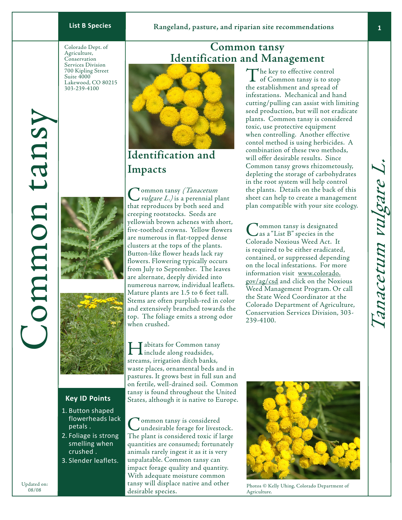Colorado Dept. of Agriculture, Conservation Services Division 700 Kipling Street Suite 4000 Lakewood, CO 80215 303-239-4100





## **Key ID Points**

- 1. Button shaped flowerheads lack petals .
- 2. Foliage is strong smelling when crushed .
- Slender leaflets. 3.

Common tansy *(Tanacetum<br>
vulgare L.)* is a perennial plant that reproduces by both seed and creeping rootstocks. Seeds are yellowish brown achenes with short, five-toothed crowns. Yellow flowers are numerous in flat-topped dense clusters at the tops of the plants. Button-like flower heads lack ray flowers. Flowering typically occurs from July to September. The leaves are alternate, deeply divided into numerous narrow, individual leaflets. Mature plants are 1.5 to 6 feet tall. Stems are often purplish-red in color and extensively branched towards the top. The foliage emits a strong odor when crushed.

**T** abitats for Common tansy **L**include along roadsides, streams, irrigation ditch banks, waste places, ornamental beds and in pastures. It grows best in full sun and on fertile, well-drained soil. Common tansy is found throughout the United States, although it is native to Europe.

**Tommon tansy is considered** undesirable forage for livestock. The plant is considered toxic if large quantities are consumed; fortunately animals rarely ingest it as it is very unpalatable. Common tansy can impact forage quality and quantity. With adequate moisture common tansy will displace native and other desirable species.

# **Common tansy Identification and Management**



# **Identification and Impacts**

the establishment and spread of infestations. Mechanical and hand cutting/pulling can assist with limiting seed production, but will not eradicate plants. Common tansy is considered toxic, use protective equipment when controlling. Another effective contol method is using herbicides. A combination of these two methods, will offer desirable results. Since Common tansy grows rhizometously, depleting the storage of carbohydrates in the root system will help control the plants. Details on the back of this sheet can help to create a management plan compatible with your site ecology.

The key to effective control of Common tansy is to stop

**Tommon tansy is designated** as a "List B" species in the Colorado Noxious Weed Act. It is required to be either eradicated, contained, or suppressed depending on the local infestations. For more information visit www.colorado. gov/ag/csd and click on the Noxious Weed Management Program. Or call the State Weed Coordinator at the Colorado Department of Agriculture, Conservation Services Division, 303- 239-4100.



Photos © Kelly Uhing, Colorado Department of Agriculture.

 $\mathbf{1}$ 

Common tansy

Common tans